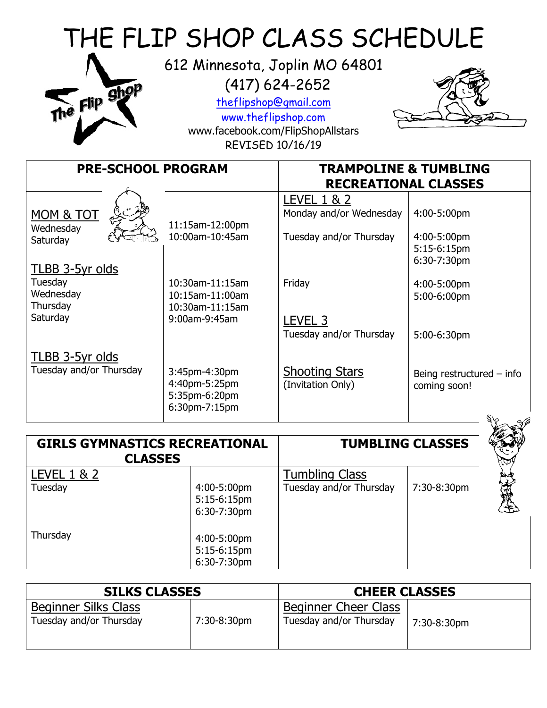| THE FLIP SHOP CLASS SCHEDULE<br>612 Minnesota, Joplin MO 64801<br>$(417)$ 624-2652<br>The Flip Shop<br>theflipshop@gmail.com<br>www.theflipshop.com<br>www.facebook.com/FlipShopAllstars<br><b>REVISED 10/16/19</b> |                                                                  |                                                   |                                             |  |
|---------------------------------------------------------------------------------------------------------------------------------------------------------------------------------------------------------------------|------------------------------------------------------------------|---------------------------------------------------|---------------------------------------------|--|
| <b>PRE-SCHOOL PROGRAM</b>                                                                                                                                                                                           |                                                                  | <b>TRAMPOLINE &amp; TUMBLING</b>                  |                                             |  |
|                                                                                                                                                                                                                     |                                                                  | <b>RECREATIONAL CLASSES</b>                       |                                             |  |
| MOM & TOT<br>Wednesday                                                                                                                                                                                              | 11:15am-12:00pm                                                  | <b>LEVEL 1 &amp; 2</b><br>Monday and/or Wednesday | 4:00-5:00pm                                 |  |
| Saturday                                                                                                                                                                                                            | 10:00am-10:45am                                                  | Tuesday and/or Thursday                           | 4:00-5:00pm<br>5:15-6:15pm<br>6:30-7:30pm   |  |
| TLBB 3-5yr olds<br>Tuesday<br>Wednesday                                                                                                                                                                             | 10:30am-11:15am<br>10:15am-11:00am                               | Friday                                            | 4:00-5:00pm<br>5:00-6:00pm                  |  |
| Thursday<br>Saturday                                                                                                                                                                                                | 10:30am-11:15am<br>9:00am-9:45am                                 | LEVEL <sub>3</sub><br>Tuesday and/or Thursday     | 5:00-6:30pm                                 |  |
| <b>TLBB 3-5yr olds</b><br>Tuesday and/or Thursday                                                                                                                                                                   | 3:45pm-4:30pm<br>4:40pm-5:25pm<br>5:35pm-6:20pm<br>6:30pm-7:15pm | <b>Shooting Stars</b><br>(Invitation Only)        | Being restructured $-$ info<br>coming soon! |  |
|                                                                                                                                                                                                                     |                                                                  |                                                   |                                             |  |

| <b>GIRLS GYMNASTICS RECREATIONAL</b><br><b>CLASSES</b> |                                                          | <b>TUMBLING CLASSES</b>                          |             |     |
|--------------------------------------------------------|----------------------------------------------------------|--------------------------------------------------|-------------|-----|
| <b>LEVEL 1 &amp; 2</b><br>Tuesday                      | 4:00-5:00pm<br>5:15-6:15pm                               | <b>Tumbling Class</b><br>Tuesday and/or Thursday | 7:30-8:30pm | 大海地 |
| Thursday                                               | 6:30-7:30pm<br>4:00-5:00pm<br>5:15-6:15pm<br>6:30-7:30pm |                                                  |             |     |

| <b>SILKS CLASSES</b>                            |             | <b>CHEER CLASSES</b>                            |             |
|-------------------------------------------------|-------------|-------------------------------------------------|-------------|
| Beginner Silks Class<br>Tuesday and/or Thursday | 7:30-8:30pm | Beginner Cheer Class<br>Tuesday and/or Thursday | 7:30-8:30pm |